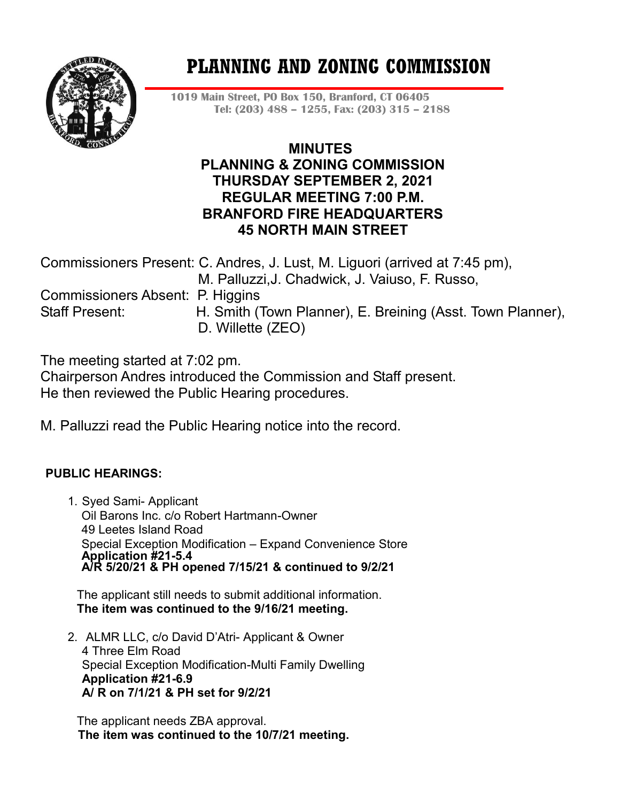

# **PLANNING AND ZONING COMMISSION**

**1019 Main Street, PO Box 150, Branford, CT 06405 Tel: (203) 488 – 1255, Fax: (203) 315 – 2188**

# **MINUTES PLANNING & ZONING COMMISSION THURSDAY SEPTEMBER 2, 2021 REGULAR MEETING 7:00 P.M. BRANFORD FIRE HEADQUARTERS 45 NORTH MAIN STREET**

Commissioners Present: C. Andres, J. Lust, M. Liguori (arrived at 7:45 pm), M. Palluzzi,J. Chadwick, J. Vaiuso, F. Russo, Commissioners Absent: P. Higgins Staff Present: H. Smith (Town Planner), E. Breining (Asst. Town Planner), D. Willette (ZEO)

The meeting started at 7:02 pm.

Chairperson Andres introduced the Commission and Staff present. He then reviewed the Public Hearing procedures.

M. Palluzzi read the Public Hearing notice into the record.

## **PUBLIC HEARINGS:**

1. Syed Sami- Applicant Oil Barons Inc. c/o Robert Hartmann-Owner 49 Leetes Island Road Special Exception Modification – Expand Convenience Store **Application #21-5.4 A/R 5/20/21 & PH opened 7/15/21 & continued to 9/2/21**

The applicant still needs to submit additional information. **The item was continued to the 9/16/21 meeting.**

2. ALMR LLC, c/o David D'Atri- Applicant & Owner 4 Three Elm Road Special Exception Modification-Multi Family Dwelling **Application #21-6.9 A/ R on 7/1/21 & PH set for 9/2/21**

The applicant needs ZBA approval.  **The item was continued to the 10/7/21 meeting.**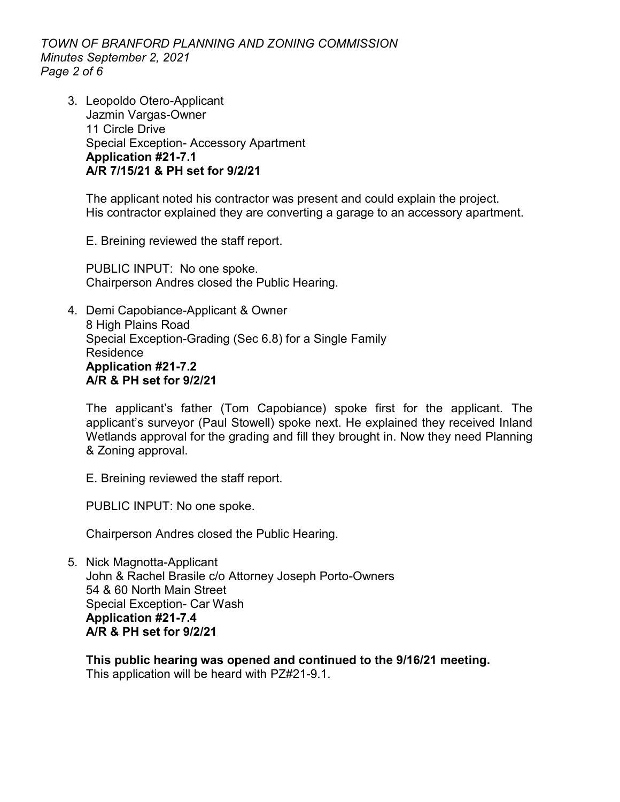*TOWN OF BRANFORD PLANNING AND ZONING COMMISSION Minutes September 2, 2021 Page 2 of 6*

3. Leopoldo Otero-Applicant Jazmin Vargas-Owner 11 Circle Drive Special Exception- Accessory Apartment **Application #21-7.1 A/R 7/15/21 & PH set for 9/2/21**

The applicant noted his contractor was present and could explain the project. His contractor explained they are converting a garage to an accessory apartment.

E. Breining reviewed the staff report.

PUBLIC INPUT: No one spoke. Chairperson Andres closed the Public Hearing.

4. Demi Capobiance-Applicant & Owner 8 High Plains Road Special Exception-Grading (Sec 6.8) for a Single Family Residence **Application #21-7.2 A/R & PH set for 9/2/21**

The applicant's father (Tom Capobiance) spoke first for the applicant. The applicant's surveyor (Paul Stowell) spoke next. He explained they received Inland Wetlands approval for the grading and fill they brought in. Now they need Planning & Zoning approval.

E. Breining reviewed the staff report.

PUBLIC INPUT: No one spoke.

Chairperson Andres closed the Public Hearing.

5. Nick Magnotta-Applicant John & Rachel Brasile c/o Attorney Joseph Porto-Owners 54 & 60 North Main Street Special Exception- Car Wash **Application #21-7.4 A/R & PH set for 9/2/21**

**This public hearing was opened and continued to the 9/16/21 meeting.** This application will be heard with PZ#21-9.1.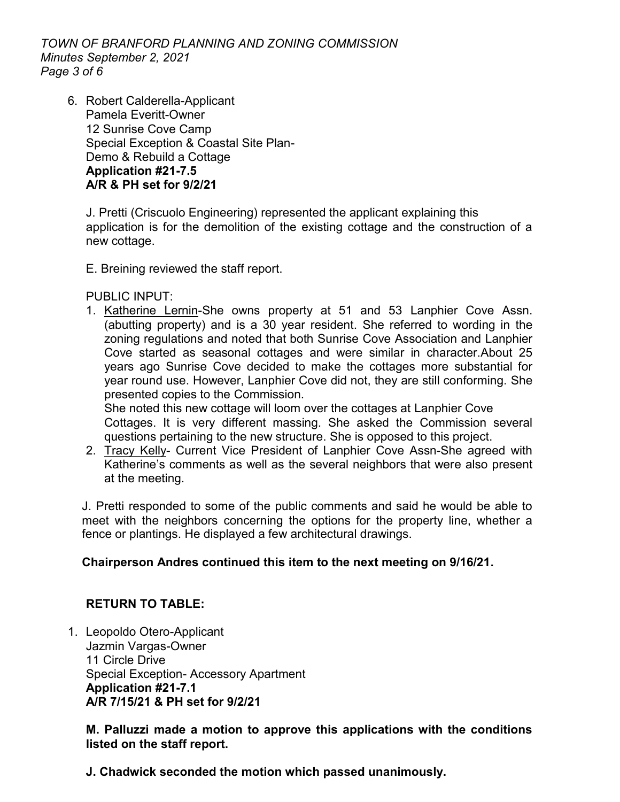*TOWN OF BRANFORD PLANNING AND ZONING COMMISSION Minutes September 2, 2021 Page 3 of 6*

6. Robert Calderella-Applicant Pamela Everitt-Owner 12 Sunrise Cove Camp Special Exception & Coastal Site Plan-Demo & Rebuild a Cottage **Application #21-7.5 A/R & PH set for 9/2/21**

J. Pretti (Criscuolo Engineering) represented the applicant explaining this application is for the demolition of the existing cottage and the construction of a new cottage.

E. Breining reviewed the staff report.

PUBLIC INPUT:

1. Katherine Lernin-She owns property at 51 and 53 Lanphier Cove Assn. (abutting property) and is a 30 year resident. She referred to wording in the zoning regulations and noted that both Sunrise Cove Association and Lanphier Cove started as seasonal cottages and were similar in character.About 25 years ago Sunrise Cove decided to make the cottages more substantial for year round use. However, Lanphier Cove did not, they are still conforming. She presented copies to the Commission.

She noted this new cottage will loom over the cottages at Lanphier Cove Cottages. It is very different massing. She asked the Commission several questions pertaining to the new structure. She is opposed to this project.

2. Tracy Kelly- Current Vice President of Lanphier Cove Assn-She agreed with Katherine's comments as well as the several neighbors that were also present at the meeting.

J. Pretti responded to some of the public comments and said he would be able to meet with the neighbors concerning the options for the property line, whether a fence or plantings. He displayed a few architectural drawings.

#### **Chairperson Andres continued this item to the next meeting on 9/16/21.**

## **RETURN TO TABLE:**

1. Leopoldo Otero-Applicant Jazmin Vargas-Owner 11 Circle Drive Special Exception- Accessory Apartment **Application #21-7.1 A/R 7/15/21 & PH set for 9/2/21**

**M. Palluzzi made a motion to approve this applications with the conditions listed on the staff report.**

**J. Chadwick seconded the motion which passed unanimously.**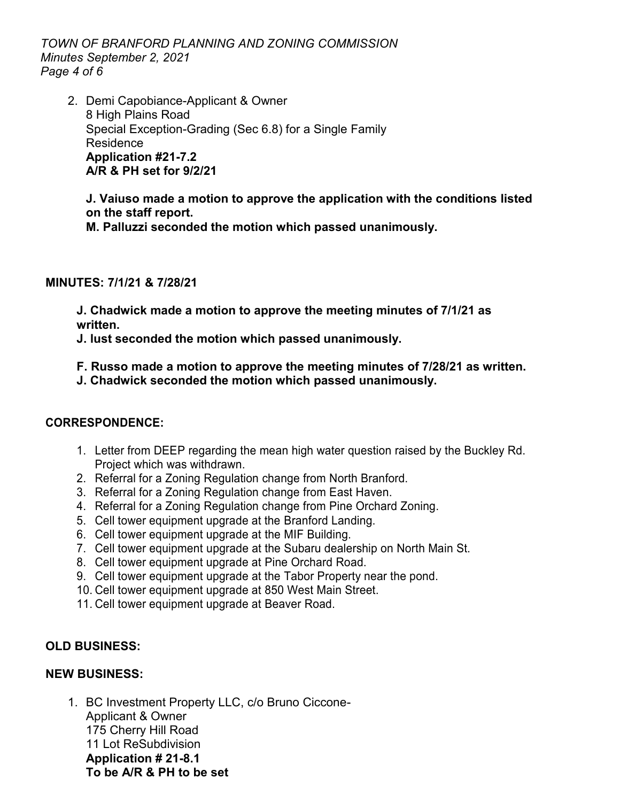*TOWN OF BRANFORD PLANNING AND ZONING COMMISSION Minutes September 2, 2021 Page 4 of 6*

2. Demi Capobiance-Applicant & Owner 8 High Plains Road Special Exception-Grading (Sec 6.8) for a Single Family Residence **Application #21-7.2 A/R & PH set for 9/2/21**

**J. Vaiuso made a motion to approve the application with the conditions listed on the staff report.**

**M. Palluzzi seconded the motion which passed unanimously.** 

## **MINUTES: 7/1/21 & 7/28/21**

**J. Chadwick made a motion to approve the meeting minutes of 7/1/21 as written.**

**J. lust seconded the motion which passed unanimously.**

**F. Russo made a motion to approve the meeting minutes of 7/28/21 as written.**

**J. Chadwick seconded the motion which passed unanimously.**

## **CORRESPONDENCE:**

- 1. Letter from DEEP regarding the mean high water question raised by the Buckley Rd. Project which was withdrawn.
- 2. Referral for a Zoning Regulation change from North Branford.
- 3. Referral for a Zoning Regulation change from East Haven.
- 4. Referral for a Zoning Regulation change from Pine Orchard Zoning.
- 5. Cell tower equipment upgrade at the Branford Landing.
- 6. Cell tower equipment upgrade at the MIF Building.
- 7. Cell tower equipment upgrade at the Subaru dealership on North Main St.
- 8. Cell tower equipment upgrade at Pine Orchard Road.
- 9. Cell tower equipment upgrade at the Tabor Property near the pond.
- 10. Cell tower equipment upgrade at 850 West Main Street.
- 11. Cell tower equipment upgrade at Beaver Road.

## **OLD BUSINESS:**

## **NEW BUSINESS:**

1. BC Investment Property LLC, c/o Bruno Ciccone-Applicant & Owner 175 Cherry Hill Road 11 Lot ReSubdivision **Application # 21-8.1 To be A/R & PH to be set**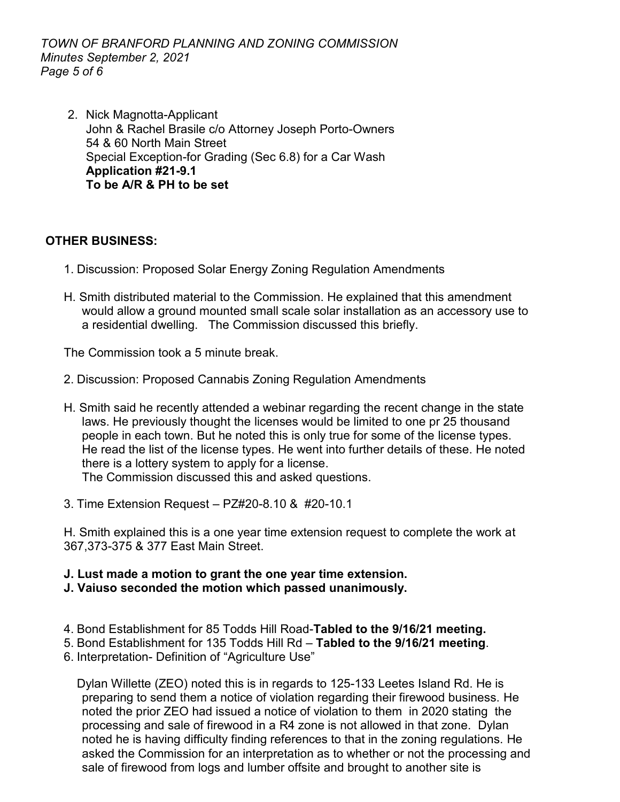*TOWN OF BRANFORD PLANNING AND ZONING COMMISSION Minutes September 2, 2021 Page 5 of 6*

2. Nick Magnotta-Applicant John & Rachel Brasile c/o Attorney Joseph Porto-Owners 54 & 60 North Main Street Special Exception-for Grading (Sec 6.8) for a Car Wash **Application #21-9.1 To be A/R & PH to be set**

## **OTHER BUSINESS:**

- 1. Discussion: Proposed Solar Energy Zoning Regulation Amendments
- H. Smith distributed material to the Commission. He explained that this amendment would allow a ground mounted small scale solar installation as an accessory use to a residential dwelling. The Commission discussed this briefly.

The Commission took a 5 minute break.

- 2. Discussion: Proposed Cannabis Zoning Regulation Amendments
- H. Smith said he recently attended a webinar regarding the recent change in the state laws. He previously thought the licenses would be limited to one pr 25 thousand people in each town. But he noted this is only true for some of the license types. He read the list of the license types. He went into further details of these. He noted there is a lottery system to apply for a license. The Commission discussed this and asked questions.
- 3. Time Extension Request PZ#20-8.10 & #20-10.1

H. Smith explained this is a one year time extension request to complete the work at 367,373-375 & 377 East Main Street.

#### **J. Lust made a motion to grant the one year time extension.**

- **J. Vaiuso seconded the motion which passed unanimously.**
- 4. Bond Establishment for 85 Todds Hill Road-**Tabled to the 9/16/21 meeting.**
- 5. Bond Establishment for 135 Todds Hill Rd **Tabled to the 9/16/21 meeting**.
- 6. Interpretation- Definition of "Agriculture Use"

Dylan Willette (ZEO) noted this is in regards to 125-133 Leetes Island Rd. He is preparing to send them a notice of violation regarding their firewood business. He noted the prior ZEO had issued a notice of violation to them in 2020 stating the processing and sale of firewood in a R4 zone is not allowed in that zone. Dylan noted he is having difficulty finding references to that in the zoning regulations. He asked the Commission for an interpretation as to whether or not the processing and sale of firewood from logs and lumber offsite and brought to another site is